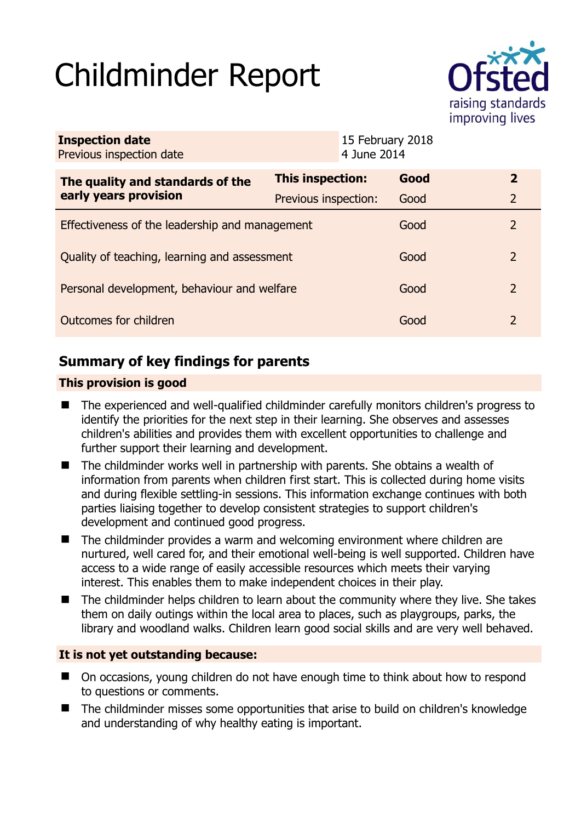# Childminder Report



| <b>Inspection date</b><br>Previous inspection date        |                         | 15 February 2018<br>4 June 2014 |      |                |
|-----------------------------------------------------------|-------------------------|---------------------------------|------|----------------|
| The quality and standards of the<br>early years provision | <b>This inspection:</b> |                                 | Good | $\overline{2}$ |
|                                                           | Previous inspection:    |                                 | Good | $\overline{2}$ |
| Effectiveness of the leadership and management            |                         |                                 | Good | $\mathcal{L}$  |
| Quality of teaching, learning and assessment              |                         |                                 | Good | 2              |
| Personal development, behaviour and welfare               |                         |                                 | Good | 2              |
| Outcomes for children                                     |                         |                                 | Good | $\overline{2}$ |

# **Summary of key findings for parents**

## **This provision is good**

- The experienced and well-qualified childminder carefully monitors children's progress to identify the priorities for the next step in their learning. She observes and assesses children's abilities and provides them with excellent opportunities to challenge and further support their learning and development.
- The childminder works well in partnership with parents. She obtains a wealth of information from parents when children first start. This is collected during home visits and during flexible settling-in sessions. This information exchange continues with both parties liaising together to develop consistent strategies to support children's development and continued good progress.
- The childminder provides a warm and welcoming environment where children are nurtured, well cared for, and their emotional well-being is well supported. Children have access to a wide range of easily accessible resources which meets their varying interest. This enables them to make independent choices in their play.
- The childminder helps children to learn about the community where they live. She takes them on daily outings within the local area to places, such as playgroups, parks, the library and woodland walks. Children learn good social skills and are very well behaved.

## **It is not yet outstanding because:**

- On occasions, young children do not have enough time to think about how to respond to questions or comments.
- The childminder misses some opportunities that arise to build on children's knowledge and understanding of why healthy eating is important.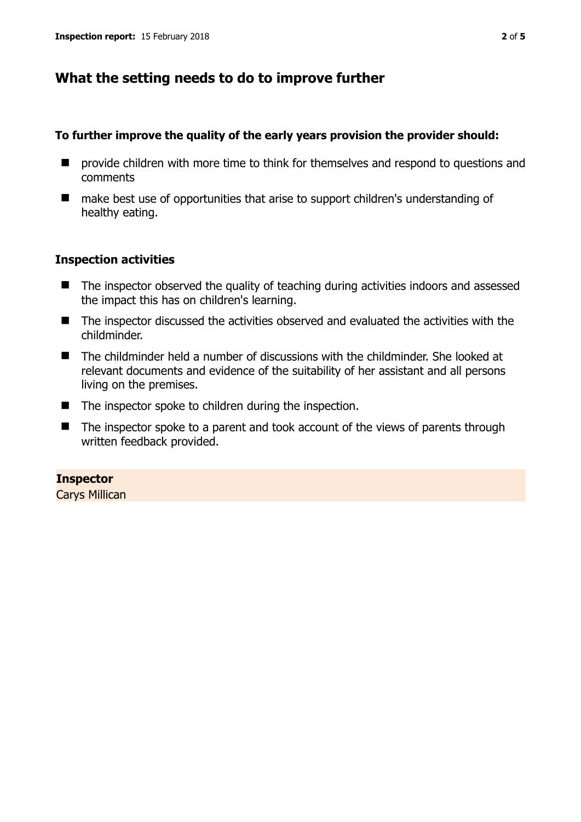## **What the setting needs to do to improve further**

#### **To further improve the quality of the early years provision the provider should:**

- $\blacksquare$  provide children with more time to think for themselves and respond to questions and comments
- make best use of opportunities that arise to support children's understanding of healthy eating.

#### **Inspection activities**

- The inspector observed the quality of teaching during activities indoors and assessed the impact this has on children's learning.
- The inspector discussed the activities observed and evaluated the activities with the childminder.
- The childminder held a number of discussions with the childminder. She looked at relevant documents and evidence of the suitability of her assistant and all persons living on the premises.
- $\blacksquare$  The inspector spoke to children during the inspection.
- The inspector spoke to a parent and took account of the views of parents through written feedback provided.

## **Inspector**

Carys Millican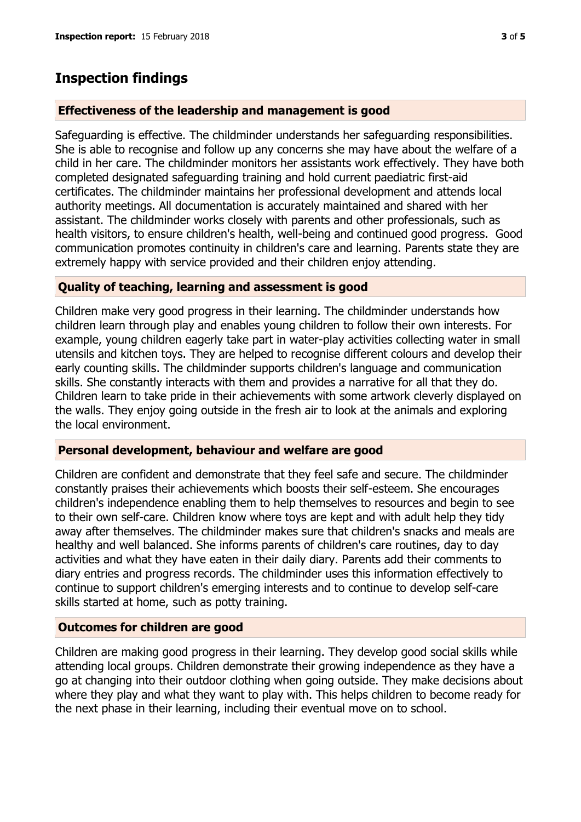# **Inspection findings**

#### **Effectiveness of the leadership and management is good**

Safeguarding is effective. The childminder understands her safeguarding responsibilities. She is able to recognise and follow up any concerns she may have about the welfare of a child in her care. The childminder monitors her assistants work effectively. They have both completed designated safeguarding training and hold current paediatric first-aid certificates. The childminder maintains her professional development and attends local authority meetings. All documentation is accurately maintained and shared with her assistant. The childminder works closely with parents and other professionals, such as health visitors, to ensure children's health, well-being and continued good progress. Good communication promotes continuity in children's care and learning. Parents state they are extremely happy with service provided and their children enjoy attending.

## **Quality of teaching, learning and assessment is good**

Children make very good progress in their learning. The childminder understands how children learn through play and enables young children to follow their own interests. For example, young children eagerly take part in water-play activities collecting water in small utensils and kitchen toys. They are helped to recognise different colours and develop their early counting skills. The childminder supports children's language and communication skills. She constantly interacts with them and provides a narrative for all that they do. Children learn to take pride in their achievements with some artwork cleverly displayed on the walls. They enjoy going outside in the fresh air to look at the animals and exploring the local environment.

#### **Personal development, behaviour and welfare are good**

Children are confident and demonstrate that they feel safe and secure. The childminder constantly praises their achievements which boosts their self-esteem. She encourages children's independence enabling them to help themselves to resources and begin to see to their own self-care. Children know where toys are kept and with adult help they tidy away after themselves. The childminder makes sure that children's snacks and meals are healthy and well balanced. She informs parents of children's care routines, day to day activities and what they have eaten in their daily diary. Parents add their comments to diary entries and progress records. The childminder uses this information effectively to continue to support children's emerging interests and to continue to develop self-care skills started at home, such as potty training.

## **Outcomes for children are good**

Children are making good progress in their learning. They develop good social skills while attending local groups. Children demonstrate their growing independence as they have a go at changing into their outdoor clothing when going outside. They make decisions about where they play and what they want to play with. This helps children to become ready for the next phase in their learning, including their eventual move on to school.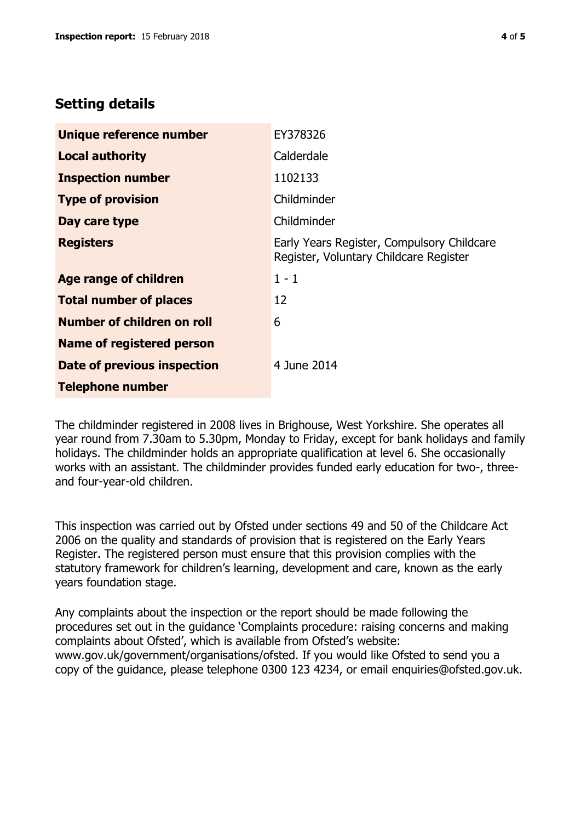## **Setting details**

| Unique reference number           | EY378326                                                                             |  |
|-----------------------------------|--------------------------------------------------------------------------------------|--|
| <b>Local authority</b>            | Calderdale                                                                           |  |
| <b>Inspection number</b>          | 1102133                                                                              |  |
| <b>Type of provision</b>          | Childminder                                                                          |  |
| Day care type                     | Childminder                                                                          |  |
| <b>Registers</b>                  | Early Years Register, Compulsory Childcare<br>Register, Voluntary Childcare Register |  |
| Age range of children             | $1 - 1$                                                                              |  |
| <b>Total number of places</b>     | 12                                                                                   |  |
| <b>Number of children on roll</b> | 6                                                                                    |  |
| <b>Name of registered person</b>  |                                                                                      |  |
| Date of previous inspection       | 4 June 2014                                                                          |  |
| <b>Telephone number</b>           |                                                                                      |  |

The childminder registered in 2008 lives in Brighouse, West Yorkshire. She operates all year round from 7.30am to 5.30pm, Monday to Friday, except for bank holidays and family holidays. The childminder holds an appropriate qualification at level 6. She occasionally works with an assistant. The childminder provides funded early education for two-, threeand four-year-old children.

This inspection was carried out by Ofsted under sections 49 and 50 of the Childcare Act 2006 on the quality and standards of provision that is registered on the Early Years Register. The registered person must ensure that this provision complies with the statutory framework for children's learning, development and care, known as the early years foundation stage.

Any complaints about the inspection or the report should be made following the procedures set out in the guidance 'Complaints procedure: raising concerns and making complaints about Ofsted', which is available from Ofsted's website: www.gov.uk/government/organisations/ofsted. If you would like Ofsted to send you a copy of the guidance, please telephone 0300 123 4234, or email enquiries@ofsted.gov.uk.